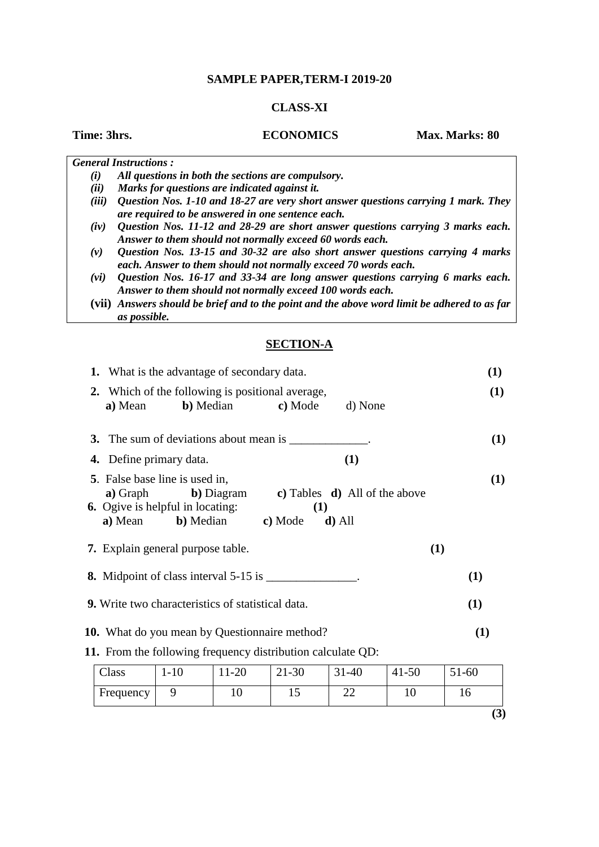#### **SAMPLE PAPER,TERM-I 2019-20**

## **CLASS-XI**

#### **Time: 3hrs. ECONOMICS Max. Marks: 80**

*General Instructions :*

- *(i) All questions in both the sections are compulsory.*
- *(ii) Marks for questions are indicated against it.*
- *(iii) Question Nos. 1-10 and 18-27 are very short answer questions carrying 1 mark. They are required to be answered in one sentence each.*
- *(iv) Question Nos. 11-12 and 28-29 are short answer questions carrying 3 marks each. Answer to them should not normally exceed 60 words each.*
- *(v) Question Nos. 13-15 and 30-32 are also short answer questions carrying 4 marks each. Answer to them should not normally exceed 70 words each.*
- *(vi) Question Nos. 16-17 and 33-34 are long answer questions carrying 6 marks each. Answer to them should not normally exceed 100 words each.*
- **(vii)** *Answers should be brief and to the point and the above word limit be adhered to as far as possible.*

### **SECTION-A**

|                                                                                   | 1. What is the advantage of secondary data.       |       |                                                                                          |           |           | (1)   |
|-----------------------------------------------------------------------------------|---------------------------------------------------|-------|------------------------------------------------------------------------------------------|-----------|-----------|-------|
| 2. Which of the following is positional average,                                  | <b>a</b> ) Mean <b>b</b> ) Median                 |       | c) Mode                                                                                  | d) None   |           | (1)   |
| 3. The sum of deviations about mean is ______________.                            |                                                   |       |                                                                                          |           |           | (1)   |
| <b>4.</b> Define primary data.                                                    |                                                   |       |                                                                                          | (1)       |           |       |
| <b>5</b> . False base line is used in,<br><b>6.</b> Ogive is helpful in locating: | <b>a</b> ) Mean <b>b</b> ) Median <b>c</b> ) Mode |       | <b>a</b> ) Graph <b>b</b> ) Diagram <b>c</b> ) Tables <b>d</b> ) All of the above<br>(1) | $d)$ All  |           | (1)   |
| <b>7.</b> Explain general purpose table.                                          |                                                   |       |                                                                                          |           | (1)       |       |
| 8. Midpoint of class interval $5-15$ is _______________.                          |                                                   |       |                                                                                          |           |           | (1)   |
| <b>9.</b> Write two characteristics of statistical data.                          |                                                   |       |                                                                                          |           | (1)       |       |
| <b>10.</b> What do you mean by Questionnaire method?                              |                                                   |       |                                                                                          |           |           | (1)   |
| 11. From the following frequency distribution calculate QD:                       |                                                   |       |                                                                                          |           |           |       |
| Class                                                                             | $1-10$                                            | 11-20 | 21-30                                                                                    | $31 - 40$ | $41 - 50$ | 51-60 |

Frequency 9 10 15 22 10 16

**(3)**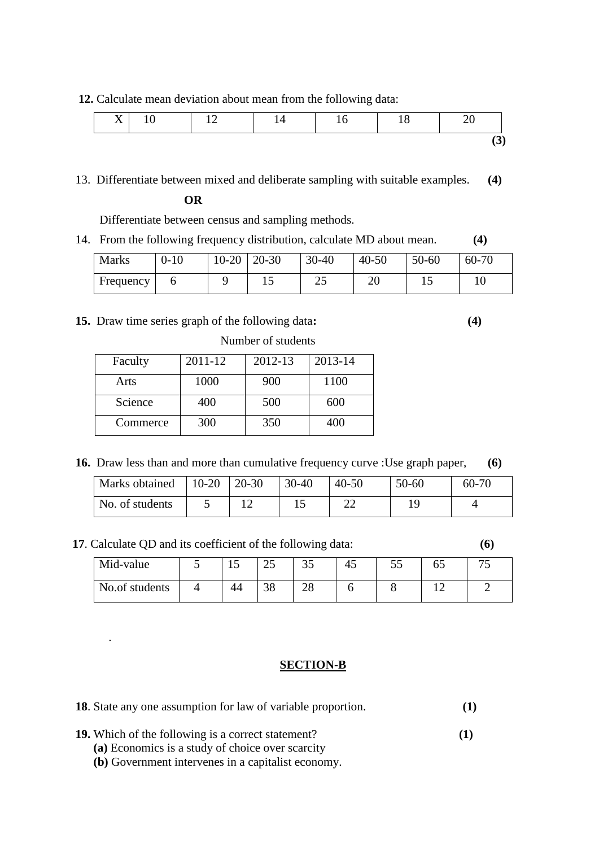**12.** Calculate mean deviation about mean from the following data:

| $X \mid 10$ | $\frac{1}{2}$ | $\frac{1}{4}$ | 16 | 18 | 20 |
|-------------|---------------|---------------|----|----|----|
|             |               |               |    |    |    |

13. Differentiate between mixed and deliberate sampling with suitable examples. **(4)**

## **OR**

Differentiate between census and sampling methods.

14. From the following frequency distribution, calculate MD about mean. **(4)**

| <b>Marks</b> | $0-10$ | $10-20$   20-30 | $30 - 40$ | $40 - 50$ | $50 - 60$ | 60-70 |
|--------------|--------|-----------------|-----------|-----------|-----------|-------|
| Frequency    |        |                 | ل ک       | 20        |           | 1∪    |

## **15.** Draw time series graph of the following data**: (4)**

# Number of students

| Faculty  | 2011-12 | 2012-13 | 2013-14 |
|----------|---------|---------|---------|
| Arts     | 1000    | 900     | 1100    |
| Science  | 400     | 500     | 600     |
| Commerce | 300     | 350     | 400     |

**16.** Draw less than and more than cumulative frequency curve :Use graph paper, **(6)**

| <b>Marks</b> obtained | $10-20$ | $ 20-30$ | $30 - 40$ | $40 - 50$ | 50-60 | 60-70 |
|-----------------------|---------|----------|-----------|-----------|-------|-------|
| No. of students       |         |          |           |           |       |       |

**17**. Calculate QD and its coefficient of the following data: **(6)**

| Mid-value      | ⊥ື | $\cap \subset$<br>رے | ິ        | 4∪ | ັບ | ັ |
|----------------|----|----------------------|----------|----|----|---|
| No.of students | 44 | ററ<br>IJΟ            | ിറ<br>∠∪ |    |    |   |

# **SECTION-B**

| <b>18.</b> State any one assumption for law of variable proportion. | (1) |
|---------------------------------------------------------------------|-----|
| <b>19.</b> Which of the following is a correct statement?           |     |

**(a)** Economics is a study of choice over scarcity

.

**(b)** Government intervenes in a capitalist economy.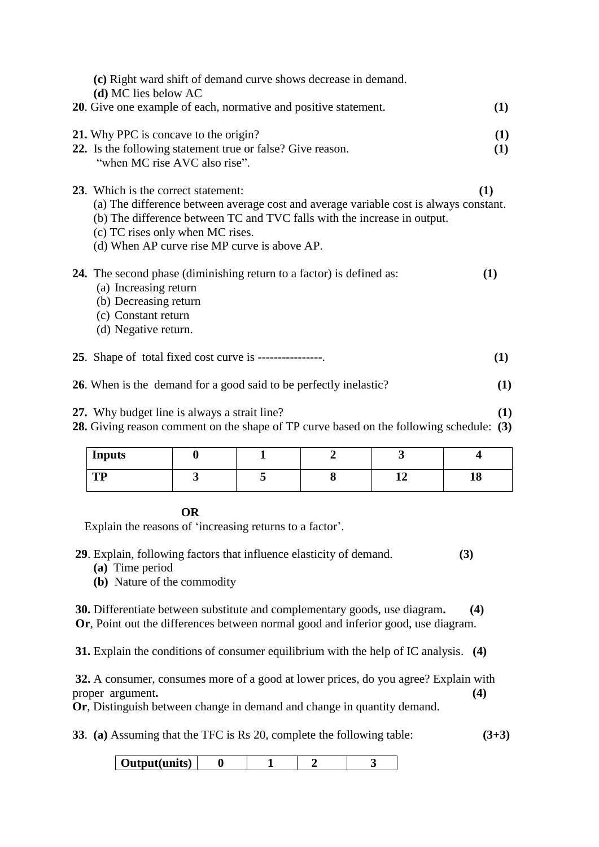| <b>TP</b>                                                                                                                                                                                                                                                                                    | 3                | 5            | 8                | 12 | 18               |
|----------------------------------------------------------------------------------------------------------------------------------------------------------------------------------------------------------------------------------------------------------------------------------------------|------------------|--------------|------------------|----|------------------|
| <b>Inputs</b>                                                                                                                                                                                                                                                                                | $\boldsymbol{0}$ | $\mathbf{1}$ | $\boldsymbol{2}$ | 3  | $\boldsymbol{4}$ |
| 27. Why budget line is always a strait line?<br>28. Giving reason comment on the shape of TP curve based on the following schedule: (3)                                                                                                                                                      |                  |              |                  |    | (1)              |
| 26. When is the demand for a good said to be perfectly inelastic?                                                                                                                                                                                                                            |                  |              |                  |    | (1)              |
| 25. Shape of total fixed cost curve is ----------------                                                                                                                                                                                                                                      |                  |              |                  |    | (1)              |
| <b>24.</b> The second phase (diminishing return to a factor) is defined as:<br>(a) Increasing return<br>(b) Decreasing return<br>(c) Constant return<br>(d) Negative return.                                                                                                                 |                  |              |                  |    | (1)              |
| 23. Which is the correct statement:<br>(a) The difference between average cost and average variable cost is always constant.<br>(b) The difference between TC and TVC falls with the increase in output.<br>(c) TC rises only when MC rises.<br>(d) When AP curve rise MP curve is above AP. |                  |              |                  |    | (1)              |
| 21. Why PPC is concave to the origin?<br>22. Is the following statement true or false? Give reason.<br>"when MC rise AVC also rise".                                                                                                                                                         |                  | (1)<br>(1)   |                  |    |                  |
| (c) Right ward shift of demand curve shows decrease in demand.<br>(d) MC lies below AC<br>20. Give one example of each, normative and positive statement.                                                                                                                                    |                  |              |                  |    | (1)              |
|                                                                                                                                                                                                                                                                                              |                  |              |                  |    |                  |

**OR**

Explain the reasons of 'increasing returns to a factor'.

- **29**. Explain, following factors that influence elasticity of demand. **(3)**
	- **(a)** Time period
	- **(b)** Nature of the commodity

**30.** Differentiate between substitute and complementary goods, use diagram**. (4) Or**, Point out the differences between normal good and inferior good, use diagram.

**31.** Explain the conditions of consumer equilibrium with the help of IC analysis. **(4)**

**32.** A consumer, consumes more of a good at lower prices, do you agree? Explain with proper argument. (4)

**Or**, Distinguish between change in demand and change in quantity demand.

**33**. **(a)** Assuming that the TFC is Rs 20, complete the following table: **(3+3)**

| Output(units) |  |  |  |  |
|---------------|--|--|--|--|
|---------------|--|--|--|--|